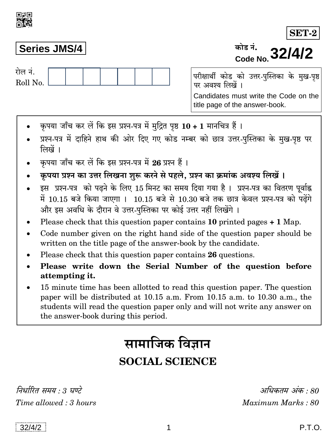## **Series JMS/4**

गेल नं Roll No.

परीक्षार्थी कोड को उत्तर-पुस्तिका के मुख-पृष्ठ पर अवश्य लिखें । Candidates must write the Code on the title page of the answer-book.

- कृपया जाँच कर लें कि इस प्रश्न-पत्र में मुद्रित पृष्ठ 10 + 1 मानचित्र हैं।
- प्रश्न-पत्र में दाहिने हाथ की ओर दिए गए कोड नम्बर को छात्र उत्तर-पस्तिका के मख-पष्ठ पर लिखें ।
- कृपया जाँच कर लें कि इस प्रश्न-पत्र में 26 प्रश्न हैं ।
- कृपया प्रश्न का उत्तर लिखना शुरू करने से पहले, प्रश्न का क्रमांक अवश्य लिखें।
- इस प्रश्न-पत्र को पढने के लिए 15 मिनट का समय दिया गया है। प्रश्न-पत्र का वितरण पूर्वाह्न में 10.15 बजे किया जाएगा । 10.15 बजे से 10.30 बजे तक छात्र केवल प्रश्न-पत्र को पढ़ेंगे और इस अवधि के दौरान वे उत्तर-पुस्तिका पर कोई उत्तर नहीं लिखेंगे ।
- Please check that this question paper contains 10 printed pages  $+ 1$  Map.
- Code number given on the right hand side of the question paper should be  $\bullet$ written on the title page of the answer-book by the candidate.
- Please check that this question paper contains 26 questions.
- Please write down the Serial Number of the question before attempting it.
- 15 minute time has been allotted to read this question paper. The question paper will be distributed at 10.15 a.m. From 10.15 a.m. to 10.30 a.m., the students will read the question paper only and will not write any answer on the answer-book during this period.

# सामाजिक विज्ञान

# **SOCIAL SCIENCE**

निर्धारित समय : 3 घण्टे Time allowed: 3 hours

अधिकतम् अंक  $\cdot$  80 Maximum Marks: 80

 $32/4/2$ 

**SET-2** Code No. 32/4/2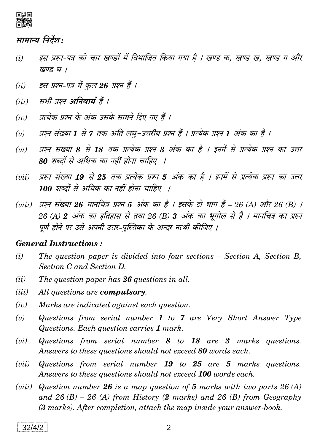

### सामान्य निर्देश:

- इस प्रश्न-पत्र को चार खण्डों में विभाजित किया गया है । खण्ड क. खण्ड ख. खण्ड ग और  $(i)$ खण्ड घ ।
- इस प्रश्न-पत्र में कुल 26 प्रश्न हैं ।  $(ii)$
- सभी प्रश्न अनिवार्य हैं ।  $(iii)$
- प्रत्येक प्रश्न के अंक उसके सामने दिए गए हैं ।  $(iv)$
- प्रश्न संख्या 1 से 7 तक अति लघु-उत्तरीय प्रश्न हैं । प्रत्येक प्रश्न 1 अंक का है ।  $(v)$
- प्रश्न संख्या 8 से 18 तक प्रत्येक प्रश्न 3 अंक का है । इनमें से प्रत्येक प्रश्न का उत्तर  $(ni)$ 80 शब्दों से अधिक का नहीं होना चाहिए ।
- प्रश्न संख्या 19 से 25 तक प्रत्येक प्रश्न 5 अंक का है । इनमें से प्रत्येक प्रश्न का उत्तर  $(vii)$ 100 शब्दों से अधिक का नहीं होना चाहिए ।
- (viii) प्रश्न संख्या **26** मानचित्र प्रश्न 5 अंक का है । इसके दो भाग हैं 26 (A) और 26 (B) । 26 (A) 2 अंक का इतिहास से तथा 26 (B) 3 अंक का भूगोल से है । मानचित्र का प्रश्न पूर्ण होने पर उसे अपनी उत्तर-पुस्तिका के अन्दर नत्थी कीजिए ।

#### **General Instructions:**

- The question paper is divided into four sections Section A, Section B,  $(i)$ Section C and Section D.
- $(ii)$ The question paper has 26 questions in all.
- $(iii)$ All questions are **compulsory**.
- $(iv)$ Marks are indicated against each question.
- Questions from serial number  $1$  to  $7$  are Very Short Answer Type  $(v)$ Questions. Each question carries 1 mark.
- Questions from serial number  $8$  to  $18$  are  $3$  marks questions.  $(vi)$ Answers to these questions should not exceed 80 words each.
- Questions from serial number 19 to 25 are 5 marks questions.  $(vii)$ Answers to these questions should not exceed 100 words each.
- Question number 26 is a map question of 5 marks with two parts  $26(A)$  $(viii)$ and  $26(B) - 26(A)$  from History (2 marks) and  $26(B)$  from Geography (3 marks). After completion, attach the map inside your answer-book.

 $32/4/2$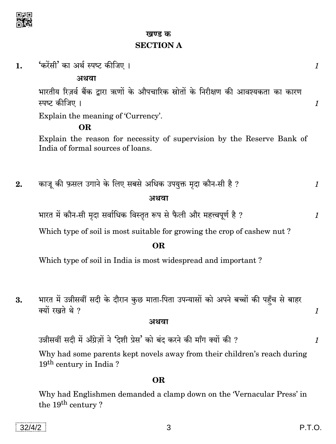

खण्ड क **SECTION A** 

| 'करेंसी' का अर्थ स्पष्ट कीजिए ।<br>1. |  |
|---------------------------------------|--|
|---------------------------------------|--|

अथवा

भारतीय रिज़र्व बैंक द्वारा ऋणों के औपचारिक स्रोतों के निरीक्षण की आवश्यकता का कारण स्पष्ट कीजिए ।

Explain the meaning of 'Currency'.

#### **OR**

Explain the reason for necessity of supervision by the Reserve Bank of India of formal sources of loans.

काजू की फ़सल उगाने के लिए सबसे अधिक उपयुक्त मृदा कौन-सी है ?  $2.$  $\mathcal{I}_{\mathcal{L}}$ अथवा

भारत में कौन-सी मृदा सर्वाधिक विस्तृत रूप से फैली और महत्त्वपूर्ण है ?

Which type of soil is most suitable for growing the crop of cashew nut?

#### OR.

Which type of soil in India is most widespread and important?

भारत में उन्नीसवीं सदी के दौरान कुछ माता-पिता उपन्यासों को अपने बच्चों की पहँच से बाहर 3. क्यों रखते थे ?

#### अथवा

उन्नीसवीं सदी में अँग्रेज़ों ने 'देशी प्रेस' को बंद करने की माँग क्यों की ?

Why had some parents kept novels away from their children's reach during 19<sup>th</sup> century in India?

#### OR.

Why had Englishmen demanded a clamp down on the 'Vernacular Press' in the 19<sup>th</sup> century?

 $\mathcal{I}_{\mathcal{L}}$ 

 $\mathbf{1}$ 

 $\mathcal{I}_{\mathcal{L}}$ 

1

 $\mathcal{I}$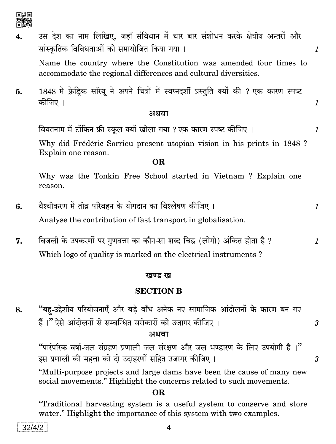

उस देश का नाम लिखिए, जहाँ संविधान में चार बार संशोधन करके क्षेत्रीय अन्तरों और  $\overline{4}$ . सांस्कृतिक विविधताओं को समायोजित किया गया।  $\mathcal{I}$ Name the country where the Constitution was amended four times to accommodate the regional differences and cultural diversities. 1848 में फ्रेडिक सॉरय ने अपने चित्रों में स्वप्नदर्शी प्रस्तुति क्यों की ? एक कारण स्पष्ट 5. कीजिए ।  $\mathcal{I}_{\mathcal{L}}$ अथवा वियतनाम में टोंकिन फ्री स्कूल क्यों खोला गया ? एक कारण स्पष्ट कीजिए ।  $\mathcal I$ Why did Frédéric Sorrieu present utopian vision in his prints in 1848 ? Explain one reason. OR. Why was the Tonkin Free School started in Vietnam ? Explain one reason. वैश्वीकरण में तीव्र परिवहन के योगदान का विश्लेषण कीजिए । 6.  $\mathcal{I}_{\mathcal{L}}$ Analyse the contribution of fast transport in globalisation. बिजली के उपकरणों पर गुणवत्ता का कौन-सा शब्द चिह्न (लोगो) अंकित होता है ? 7.  $\mathcal I$ Which logo of quality is marked on the electrical instruments? खण्ड ख **SECTION B** "बह-उद्देशीय परियोजनाएँ और बड़े बाँध अनेक नए सामाजिक आंदोलनों के कारण बन गए 8. हैं।" ऐसे आंदोलनों से सम्बन्धित सरोकारों को उजागर कीजिए। 3 अथवा "पारंपरिक वर्षा-जल संग्रहण प्रणाली जल संरक्षण और जल भण्डारण के लिए उपयोगी है।" इस प्रणाली की महत्ता को दो उदाहरणों सहित उजागर कीजिए ।  $\mathcal{S}$ "Multi-purpose projects and large dams have been the cause of many new social movements." Highlight the concerns related to such movements.

#### **OR**

"Traditional harvesting system is a useful system to conserve and store water." Highlight the importance of this system with two examples.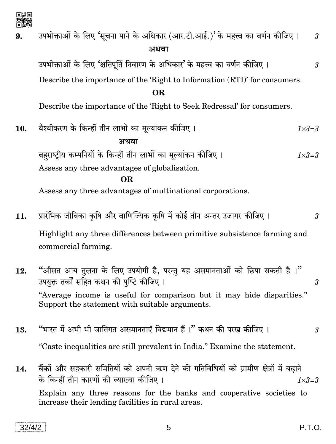

| öR        |                                                                                                                           |  |
|-----------|---------------------------------------------------------------------------------------------------------------------------|--|
| 9.        | उपभोक्ताओं के लिए 'सूचना पाने के अधिकार (आर.टी.आई.)' के महत्त्व का वर्णन कीजिए ।<br>$\mathfrak{z}$<br>अथवा                |  |
|           | उपभोक्ताओं के लिए 'क्षतिपूर्ति निवारण के अधिकार' के महत्त्व का वर्णन कीजिए ।<br>$\mathfrak{z}$                            |  |
|           | Describe the importance of the 'Right to Information (RTI)' for consumers.                                                |  |
| <b>OR</b> |                                                                                                                           |  |
|           | Describe the importance of the 'Right to Seek Redressal' for consumers.                                                   |  |
| 10.       | वैश्वीकरण के किन्हीं तीन लाभों का मूल्यांकन कीजिए।<br>$1 \times 3 = 3$                                                    |  |
|           | अथवा                                                                                                                      |  |
|           | बहराष्ट्रीय कम्पनियों के किन्हीं तीन लाभों का मूल्यांकन कीजिए ।<br>$1 \times 3 = 3$                                       |  |
|           | Assess any three advantages of globalisation.                                                                             |  |
|           | <b>OR</b>                                                                                                                 |  |
|           | Assess any three advantages of multinational corporations.                                                                |  |
| 11.       | प्रारंभिक जीविका कृषि और वाणिज्यिक कृषि में कोई तीन अन्तर उजागर कीजिए ।<br>$\overline{3}$                                 |  |
|           | Highlight any three differences between primitive subsistence farming and                                                 |  |
|           | commercial farming.                                                                                                       |  |
| 12.       | "औसत आय तुलना के लिए उपयोगी है, परन्तु यह असमानताओं को छिपा सकती है ।"<br>उपयुक्त तर्कों सहित कथन की पुष्टि कीजिए ।<br>3  |  |
|           | "Average income is useful for comparison but it may hide disparities."<br>Support the statement with suitable arguments.  |  |
| 13.       | "भारत में अभी भी जातिगत असमानताएँ विद्यमान हैं ।" कथन की परख कीजिए ।<br>$\mathfrak{z}$                                    |  |
|           | "Caste inequalities are still prevalent in India." Examine the statement.                                                 |  |
| 14.       | बैंकों और सहकारी समितियों को अपनी ऋण देने की गतिविधियों को ग्रामीण क्षेत्रों में बढ़ाने                                   |  |
|           | के किन्हीं तीन कारणों की व्याख्या कीजिए ।<br>$1 \times 3 = 3$                                                             |  |
|           | Explain any three reasons for the banks and cooperative societies to<br>increase their lending facilities in rural areas. |  |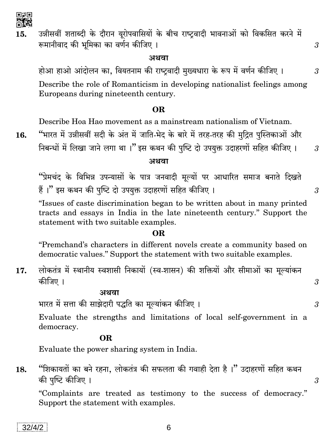

回票回

16.

democracy. OR.

भारत में सत्ता की साझेदारी पद्धति का मूल्यांकन कीजिए।

Evaluate the power sharing system in India.

अथवा

"शिकायतों का बने रहना, लोकतंत्र की सफलता की गवाही देता है।" उदाहरणों सहित कथन 18. की पुष्टि कीजिए ।

"Complaints are treated as testimony to the success of democracy." Support the statement with examples.

6

"Premchand's characters in different novels create a community based on

statement with two suitable examples.

"Issues of caste discrimination began to be written about in many printed tracts and essays in India in the late nineteenth century." Support the

"प्रेमचंद के विभिन्न उपन्यासों के पात्र जनवादी मूल्यों पर आधारित समाज बनाते दिखते

# OR.

democratic values." Support the statement with two suitable examples.

लोकतंत्र में स्थानीय स्वशासी निकायों (स्व-शासन) की शक्तियों और सीमाओं का मूल्यांकन

Evaluate the strengths and limitations of local self-government in a

हैं।" इस कथन की पुष्टि दो उपयुक्त उदाहरणों सहित कीजिए।

"भारत में उन्नीसवीं सदी के अंत में जाति-भेद के बारे में तरह-तरह की मुद्रित पुस्तिकाओं और निबन्धों में लिखा जाने लगा था।" इस कथन की पुष्टि दो उपयुक्त उदाहरणों सहित कीजिए।

होआ हाओ आंदोलन का, वियतनाम की राष्ट्रवादी मुख्यधारा के रूप में वर्णन कीजिए । Describe the role of Romanticism in developing nationalist feelings among Europeans during nineteenth century.

### **OR**

Describe Hoa Hao movement as a mainstream nationalism of Vietnam.

अशवा

उन्नीसवीं शताब्दी के दौरान यूरोपवासियों के बीच राष्ट्रवादी भावनाओं को विकसित करने में 15. रूमानीवाद की भूमिका का वर्णन कीजिए ।

अथवा

कीजिए ।

3

 $\mathfrak{Z}$ 

3

 $\mathcal{S}$ 

 $\mathcal{S}$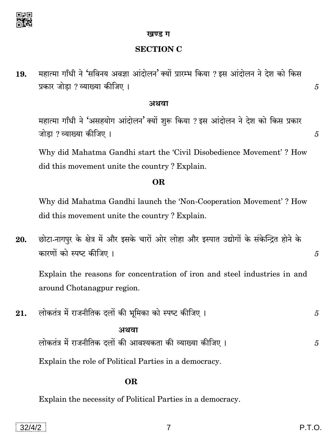

#### खण्ड ग

#### **SECTION C**

महात्मा गाँधी ने 'सविनय अवज्ञा आंदोलन' क्यों प्रारम्भ किया ? इस आंदोलन ने देश को किस 19. प्रकार जोडा ? व्याख्या कीजिए ।

#### अथवा

महात्मा गाँधी ने 'असहयोग आंदोलन' क्यों शुरू किया ? इस आंदोलन ने देश को किस प्रकार जोडा ? व्याख्या कीजिए ।

Why did Mahatma Gandhi start the 'Civil Disobedience Movement'? How did this movement unite the country? Explain.

#### **OR**

Why did Mahatma Gandhi launch the 'Non-Cooperation Movement'? How did this movement unite the country? Explain.

छोटा-नागपुर के क्षेत्र में और इसके चारों ओर लोहा और इस्पात उद्योगों के संकेन्द्रित होने के 20. कारणों को स्पष्ट कीजिए ।

Explain the reasons for concentration of iron and steel industries in and around Chotanagpur region.

लोकतंत्र में राजनीतिक दलों की भूमिका को स्पष्ट कीजिए । 21. 5

#### अथवा

लोकतंत्र में राजनीतिक दलों की आवश्यकता की व्याख्या कीजिए। 5

Explain the role of Political Parties in a democracy.

#### OR.

Explain the necessity of Political Parties in a democracy.

 $\overline{5}$ 

5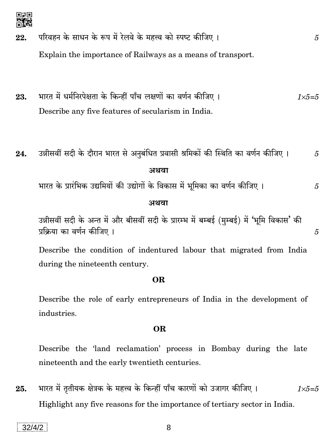- परिवहन के साधन के रूप में रेलवे के महत्त्व को स्पष्ट कीजिए। 22. Explain the importance of Railways as a means of transport.
- भारत में धर्मनिरपेक्षता के किन्हीं पाँच लक्षणों का वर्णन कीजिए । 23.  $1 \times 5 = 5$ Describe any five features of secularism in India.
- उन्नीसवीं सदी के दौरान भारत से अनुबंधित प्रवासी श्रमिकों की स्थिति का वर्णन कीजिए । 24. 5 अथवा

भारत के प्रारंभिक उद्यमियों की उद्योगों के विकास में भूमिका का वर्णन कीजिए । 5

#### अथवा

उन्नीसवीं सदी के अन्त में और बीसवीं सदी के प्रारम्भ में बम्बई (मुम्बई) में 'भूमि विकास' की प्रक्रिया का वर्णन कीजिए ।

Describe the condition of indentured labour that migrated from India during the nineteenth century.

#### OR.

Describe the role of early entrepreneurs of India in the development of industries.

#### **OR**

Describe the 'land reclamation' process in Bombay during the late nineteenth and the early twentieth centuries.

भारत में तृतीयक क्षेत्रक के महत्त्व के किन्हीं पाँच कारणों को उजागर कीजिए । 25.  $1 \times 5 = 5$ Highlight any five reasons for the importance of tertiary sector in India.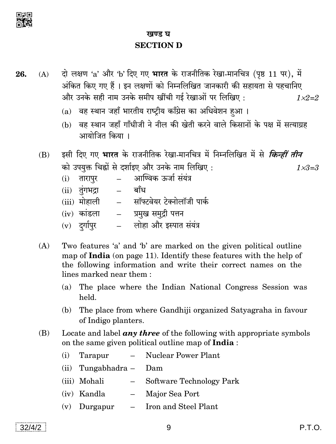

### खण्ड घ **SECTION D**

- दो लक्षण 'a' और 'b' दिए गए भारत के राजनीतिक रेखा-मानचित्र (पृष्ठ 11 पर), में 26.  $(A)$ अंकित किए गए हैं। इन लक्षणों को निम्नलिखित जानकारी की सहायता से पहचानिए और उनके सही नाम उनके समीप खींची गई रेखाओं पर लिखिए:  $1 \times 2 = 2$ 
	- (a) वह स्थान जहाँ भारतीय राष्टीय काँग्रेस का अधिवेशन हुआ।
	- (b) वह स्थान जहाँ गाँधीजी ने नील की खेती करने वाले किसानों के पक्ष में सत्याग्रह आयोजित किया ।
	- इसी दिए गए **भारत** के राजनीतिक रेखा-मानचित्र में निम्नलिखित में से *किन्हीं तीन* (B) को उपयुक्त चिह्नों से दर्शाइए और उनके नाम लिखिए:  $1 \times 3 = .3$ 
		- आण्विक ऊर्जा संयंत्र (i) तारापुर
		- (ii) तुंगभद्रा  $\mathbb{L}^{\mathbb{R}^n}$ बाँध
		- (iii) मोहाली - सॉफ्टवेयर टेक्नोलॉजी पार्क
		- प्रमुख समुद्री पत्तन  $(iv)$  कांडला
		- लोहा और इस्पात संयंत्र (v) दर्गापुर
	- Two features 'a' and 'b' are marked on the given political outline  $(A)$ map of India (on page 11). Identify these features with the help of the following information and write their correct names on the lines marked near them:
		- (a) The place where the Indian National Congress Session was held.
		- (b) The place from where Gandhiji organized Satvagraha in favour of Indigo planters.
	- (B) Locate and label  $any$  three of the following with appropriate symbols on the same given political outline map of **India**:
		- $(i)$ Tarapur Nuclear Power Plant  $\equiv$
		- $(ii)$  Tungabhadra Dam
		- Software Technology Park (iii) Mohali  $\equiv$  .
		- (iv) Kandla - Major Sea Port
		- $(v)$  Durgapur - Iron and Steel Plant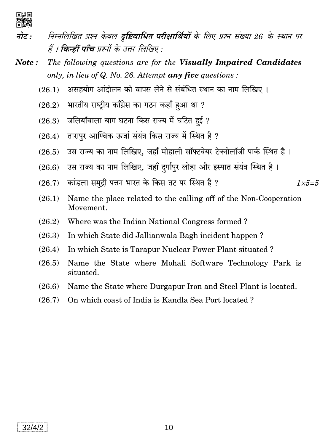

- निम्नलिखित प्रश्न केवल दुष्टिबाधित परीक्षार्थियों के लिए प्रश्न संख्या 26 के स्थान पर नोट : हैं । **किन्हीं पाँच** प्रश्नों के उत्तर लिखिए :
- The following questions are for the Visually Impaired Candidates Note: only, in lieu of  $Q$ . No. 26. Attempt any five questions :
	- असहयोग आंदोलन को वापस लेने से संबंधित स्थान का नाम लिखिए ।  $(261)$
	- भारतीय राष्ट्रीय काँग्रेस का गठन कहाँ हुआ था ?  $(26.2)$
	- जलियाँवाला बाग घटना किस राज्य में घटित हई ?  $(26.3)$
	- तारापुर आण्विक ऊर्जा संयंत्र किस राज्य में स्थित है ?  $(26.4)$
	- उस राज्य का नाम लिखिए, जहाँ मोहाली सॉफ्टवेयर टेक्नोलॉजी पार्क स्थित है।  $(26.5)$
	- उस राज्य का नाम लिखिए, जहाँ दुर्गापुर लोहा और इस्पात संयंत्र स्थित है।  $(26.6)$
	- कांडला समुद्री पत्तन भारत के किस तट पर स्थित है ?  $(26.7)$  $1 \times 5 = 5$
	- Name the place related to the calling off of the Non-Cooperation  $(26.1)$ Movement.
	- Where was the Indian National Congress formed?  $(26.2)$
	- $(26.3)$ In which State did Jallianwala Bagh incident happen?
	- In which State is Tarapur Nuclear Power Plant situated?  $(26.4)$
	- Name the State where Mohali Software Technology Park is  $(26.5)$ situated.
	- Name the State where Durgapur Iron and Steel Plant is located.  $(26.6)$
	- $(26.7)$ On which coast of India is Kandla Sea Port located?